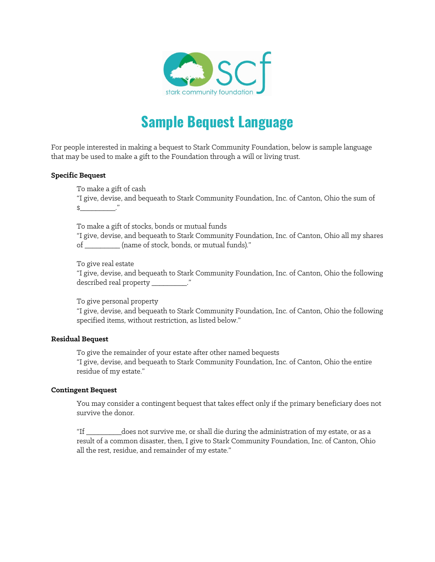

# **Sample Bequest Language**

For people interested in making a bequest to Stark Community Foundation, below is sample language that may be used to make a gift to the Foundation through a will or living trust.

## **Specific Bequest**

To make a gift of cash

"I give, devise, and bequeath to Stark Community Foundation, Inc. of Canton, Ohio the sum of  $\updownarrow$   $\updownarrow$   $\downarrow$   $\downarrow$ 

To make a gift of stocks, bonds or mutual funds

"I give, devise, and bequeath to Stark Community Foundation, Inc. of Canton, Ohio all my shares of \_\_\_\_\_\_\_\_\_ (name of stock, bonds, or mutual funds)."

To give real estate

"I give, devise, and bequeath to Stark Community Foundation, Inc. of Canton, Ohio the following described real property \_\_\_\_\_\_\_\_\_."

To give personal property

"I give, devise, and bequeath to Stark Community Foundation, Inc. of Canton, Ohio the following specified items, without restriction, as listed below."

#### **Residual Bequest**

To give the remainder of your estate after other named bequests "I give, devise, and bequeath to Stark Community Foundation, Inc. of Canton, Ohio the entire residue of my estate."

#### **Contingent Bequest**

You may consider a contingent bequest that takes effect only if the primary beneficiary does not survive the donor.

"If \_\_\_\_\_\_\_\_\_does not survive me, or shall die during the administration of my estate, or as a result of a common disaster, then, I give to Stark Community Foundation, Inc. of Canton, Ohio all the rest, residue, and remainder of my estate."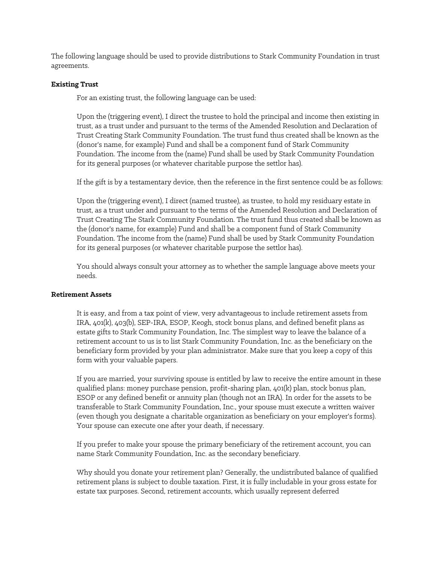The following language should be used to provide distributions to Stark Community Foundation in trust agreements.

### **Existing Trust**

For an existing trust, the following language can be used:

Upon the (triggering event), I direct the trustee to hold the principal and income then existing in trust, as a trust under and pursuant to the terms of the Amended Resolution and Declaration of Trust Creating Stark Community Foundation. The trust fund thus created shall be known as the (donor's name, for example) Fund and shall be a component fund of Stark Community Foundation. The income from the (name) Fund shall be used by Stark Community Foundation for its general purposes (or whatever charitable purpose the settlor has).

If the gift is by a testamentary device, then the reference in the first sentence could be as follows:

Upon the (triggering event), I direct (named trustee), as trustee, to hold my residuary estate in trust, as a trust under and pursuant to the terms of the Amended Resolution and Declaration of Trust Creating The Stark Community Foundation. The trust fund thus created shall be known as the (donor's name, for example) Fund and shall be a component fund of Stark Community Foundation. The income from the (name) Fund shall be used by Stark Community Foundation for its general purposes (or whatever charitable purpose the settlor has).

You should always consult your attorney as to whether the sample language above meets your needs.

#### **Retirement Assets**

It is easy, and from a tax point of view, very advantageous to include retirement assets from IRA, 401(k), 403(b), SEP-IRA, ESOP, Keogh, stock bonus plans, and defined benefit plans as estate gifts to Stark Community Foundation, Inc. The simplest way to leave the balance of a retirement account to us is to list Stark Community Foundation, Inc. as the beneficiary on the beneficiary form provided by your plan administrator. Make sure that you keep a copy of this form with your valuable papers.

If you are married, your surviving spouse is entitled by law to receive the entire amount in these qualified plans: money purchase pension, profit-sharing plan, 401(k) plan, stock bonus plan, ESOP or any defined benefit or annuity plan (though not an IRA). In order for the assets to be transferable to Stark Community Foundation, Inc., your spouse must execute a written waiver (even though you designate a charitable organization as beneficiary on your employer's forms). Your spouse can execute one after your death, if necessary.

If you prefer to make your spouse the primary beneficiary of the retirement account, you can name Stark Community Foundation, Inc. as the secondary beneficiary.

Why should you donate your retirement plan? Generally, the undistributed balance of qualified retirement plans is subject to double taxation. First, it is fully includable in your gross estate for estate tax purposes. Second, retirement accounts, which usually represent deferred